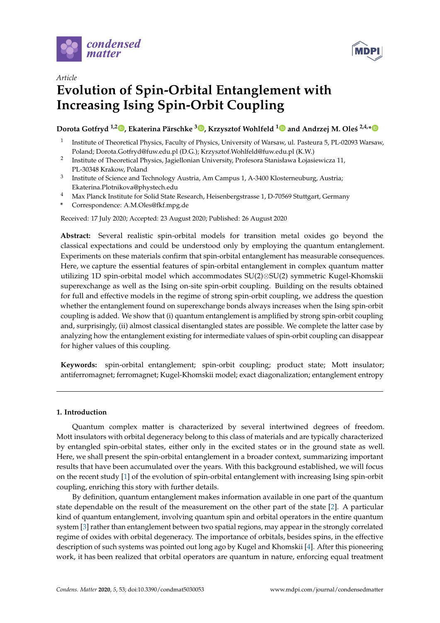



# *Article* **Evolution of Spin-Orbital Entanglement with Increasing Ising Spin-Orbit Coupling**

## **Dorota Gotfryd 1,2 [,](https://orcid.org/0000-0002-4496-5619) Ekaterina Pärschke <sup>3</sup> [,](https://orcid.org/0000-0003-0853-8182) Krzysztof Wohlfeld [1](https://orcid.org/0000-0002-6524-8264) and Andrzej M. Ole´s 2,4,[\\*](https://orcid.org/0000-0002-8954-3233)**

- 1 Institute of Theoretical Physics, Faculty of Physics, University of Warsaw, ul. Pasteura 5, PL-02093 Warsaw, Poland; Dorota.Gotfryd@fuw.edu.pl (D.G.); Krzysztof.Wohlfeld@fuw.edu.pl (K.W.)
- 2 Institute of Theoretical Physics, Jagiellonian University, Profesora Stanisława Łojasiewicza 11, PL-30348 Krakow, Poland
- 3 Institute of Science and Technology Austria, Am Campus 1, A-3400 Klosterneuburg, Austria; Ekaterina.Plotnikova@phystech.edu
- <sup>4</sup> Max Planck Institute for Solid State Research, Heisenbergstrasse 1, D-70569 Stuttgart, Germany
- **\*** Correspondence: A.M.Oles@fkf.mpg.de

Received: 17 July 2020; Accepted: 23 August 2020; Published: 26 August 2020

**Abstract:** Several realistic spin-orbital models for transition metal oxides go beyond the classical expectations and could be understood only by employing the quantum entanglement. Experiments on these materials confirm that spin-orbital entanglement has measurable consequences. Here, we capture the essential features of spin-orbital entanglement in complex quantum matter utilizing 1D spin-orbital model which accommodates SU(2)⊗SU(2) symmetric Kugel-Khomskii superexchange as well as the Ising on-site spin-orbit coupling. Building on the results obtained for full and effective models in the regime of strong spin-orbit coupling, we address the question whether the entanglement found on superexchange bonds always increases when the Ising spin-orbit coupling is added. We show that (i) quantum entanglement is amplified by strong spin-orbit coupling and, surprisingly, (ii) almost classical disentangled states are possible. We complete the latter case by analyzing how the entanglement existing for intermediate values of spin-orbit coupling can disappear for higher values of this coupling.

**Keywords:** spin-orbital entanglement; spin-orbit coupling; product state; Mott insulator; antiferromagnet; ferromagnet; Kugel-Khomskii model; exact diagonalization; entanglement entropy

## **1. Introduction**

Quantum complex matter is characterized by several intertwined degrees of freedom. Mott insulators with orbital degeneracy belong to this class of materials and are typically characterized by entangled spin-orbital states, either only in the excited states or in the ground state as well. Here, we shall present the spin-orbital entanglement in a broader context, summarizing important results that have been accumulated over the years. With this background established, we will focus on the recent study [\[1\]](#page-11-0) of the evolution of spin-orbital entanglement with increasing Ising spin-orbit coupling, enriching this story with further details.

By definition, quantum entanglement makes information available in one part of the quantum state dependable on the result of the measurement on the other part of the state [\[2\]](#page-11-1). A particular kind of quantum entanglement, involving quantum spin and orbital operators in the entire quantum system [\[3\]](#page-11-2) rather than entanglement between two spatial regions, may appear in the strongly correlated regime of oxides with orbital degeneracy. The importance of orbitals, besides spins, in the effective description of such systems was pointed out long ago by Kugel and Khomskii [\[4\]](#page-11-3). After this pioneering work, it has been realized that orbital operators are quantum in nature, enforcing equal treatment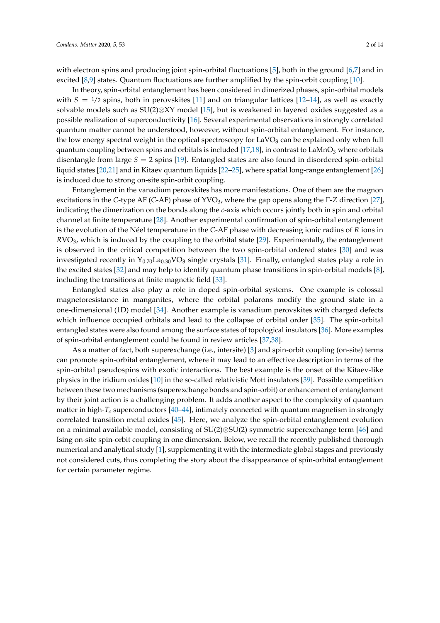with electron spins and producing joint spin-orbital fluctuations [\[5\]](#page-11-4), both in the ground [\[6](#page-11-5)[,7\]](#page-11-6) and in excited [\[8,](#page-11-7)[9\]](#page-11-8) states. Quantum fluctuations are further amplified by the spin-orbit coupling [\[10\]](#page-11-9).

In theory, spin-orbital entanglement has been considered in dimerized phases, spin-orbital models with  $S = \frac{1}{2}$  spins, both in perovskites [\[11\]](#page-11-10) and on triangular lattices [\[12](#page-11-11)[–14\]](#page-11-12), as well as exactly solvable models such as SU(2)⊗XY model [\[15\]](#page-11-13), but is weakened in layered oxides suggested as a possible realization of superconductivity [\[16\]](#page-11-14). Several experimental observations in strongly correlated quantum matter cannot be understood, however, without spin-orbital entanglement. For instance, the low energy spectral weight in the optical spectroscopy for  $LaVO<sub>3</sub>$  can be explained only when full quantum coupling between spins and orbitals is included  $[17,18]$  $[17,18]$ , in contrast to LaMnO<sub>3</sub> where orbitals disentangle from large *S* = 2 spins [\[19\]](#page-11-17). Entangled states are also found in disordered spin-orbital liquid states [\[20,](#page-11-18)[21\]](#page-11-19) and in Kitaev quantum liquids [\[22–](#page-11-20)[25\]](#page-12-0), where spatial long-range entanglement [\[26\]](#page-12-1) is induced due to strong on-site spin-orbit coupling.

Entanglement in the vanadium perovskites has more manifestations. One of them are the magnon excitations in the *C*-type AF (*C*-AF) phase of YVO3, where the gap opens along the Γ-*Z* direction [\[27\]](#page-12-2), indicating the dimerization on the bonds along the *c*-axis which occurs jointly both in spin and orbital channel at finite temperature [\[28\]](#page-12-3). Another experimental confirmation of spin-orbital entanglement is the evolution of the Néel temperature in the *C*-AF phase with decreasing ionic radius of *R* ions in *R*VO3, which is induced by the coupling to the orbital state [\[29\]](#page-12-4). Experimentally, the entanglement is observed in the critical competition between the two spin-orbital ordered states [\[30\]](#page-12-5) and was investigated recently in  $Y_{0.70}$ La<sub>0.30</sub>VO<sub>3</sub> single crystals [\[31\]](#page-12-6). Finally, entangled states play a role in the excited states [\[32\]](#page-12-7) and may help to identify quantum phase transitions in spin-orbital models [\[8\]](#page-11-7), including the transitions at finite magnetic field [\[33\]](#page-12-8).

Entangled states also play a role in doped spin-orbital systems. One example is colossal magnetoresistance in manganites, where the orbital polarons modify the ground state in a one-dimensional (1D) model [\[34\]](#page-12-9). Another example is vanadium perovskites with charged defects which influence occupied orbitals and lead to the collapse of orbital order [\[35\]](#page-12-10). The spin-orbital entangled states were also found among the surface states of topological insulators [\[36\]](#page-12-11). More examples of spin-orbital entanglement could be found in review articles [\[37,](#page-12-12)[38\]](#page-12-13).

As a matter of fact, both superexchange (i.e., intersite) [\[3\]](#page-11-2) and spin-orbit coupling (on-site) terms can promote spin-orbital entanglement, where it may lead to an effective description in terms of the spin-orbital pseudospins with exotic interactions. The best example is the onset of the Kitaev-like physics in the iridium oxides [\[10\]](#page-11-9) in the so-called relativistic Mott insulators [\[39\]](#page-12-14). Possible competition between these two mechanisms (superexchange bonds and spin-orbit) or enhancement of entanglement by their joint action is a challenging problem. It adds another aspect to the complexity of quantum matter in high-*T<sup>c</sup>* superconductors [\[40](#page-12-15)[–44\]](#page-12-16), intimately connected with quantum magnetism in strongly correlated transition metal oxides [\[45\]](#page-12-17). Here, we analyze the spin-orbital entanglement evolution on a minimal available model, consisting of SU(2)⊗SU(2) symmetric superexchange term [\[46\]](#page-12-18) and Ising on-site spin-orbit coupling in one dimension. Below, we recall the recently published thorough numerical and analytical study [\[1\]](#page-11-0), supplementing it with the intermediate global stages and previously not considered cuts, thus completing the story about the disappearance of spin-orbital entanglement for certain parameter regime.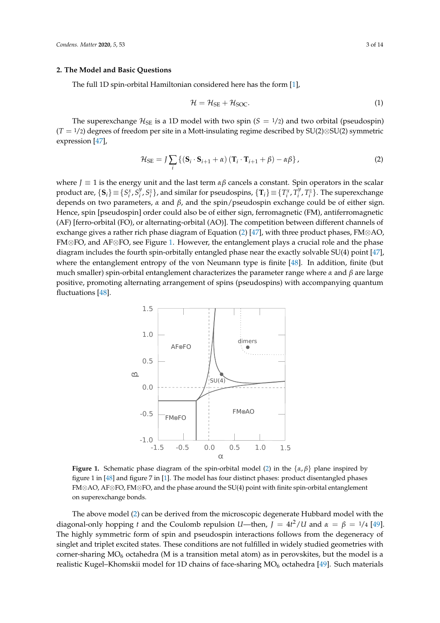#### **2. The Model and Basic Questions**

The full 1D spin-orbital Hamiltonian considered here has the form [\[1\]](#page-11-0),

<span id="page-2-2"></span><span id="page-2-0"></span>
$$
\mathcal{H} = \mathcal{H}_{\text{SE}} + \mathcal{H}_{\text{SOC}}.\tag{1}
$$

The superexchange  $\mathcal{H}_{SE}$  is a 1D model with two spin ( $S = \frac{1}{2}$ ) and two orbital (pseudospin) (*T* = <sup>1</sup>/2) degrees of freedom per site in a Mott-insulating regime described by SU(2)⊗SU(2) symmetric expression [\[47\]](#page-12-19),

$$
\mathcal{H}_{\text{SE}} = J \sum_{i} \left\{ \left( \mathbf{S}_{i} \cdot \mathbf{S}_{i+1} + \alpha \right) \left( \mathbf{T}_{i} \cdot \mathbf{T}_{i+1} + \beta \right) - \alpha \beta \right\},\tag{2}
$$

where *J* ≡ 1 is the energy unit and the last term *αβ* cancels a constant. Spin operators in the scalar product are,  $\{\mathbf{S}_i\} \equiv \{S_i^x, S_i^y\}$  $\{x_i^y, S_i^z\}$ , and similar for pseudospins,  $\{\mathbf{T}_i\} \equiv \{T_i^x, T_i^y\}$  $\{f_i^y, T_i^z\}$ . The superexchange depends on two parameters, *α* and *β*, and the spin/pseudospin exchange could be of either sign. Hence, spin [pseudospin] order could also be of either sign, ferromagnetic (FM), antiferromagnetic (AF) [ferro-orbital (FO), or alternating-orbital (AO)]. The competition between different channels of exchange gives a rather rich phase diagram of Equation [\(2\)](#page-2-0) [\[47\]](#page-12-19), with three product phases, FM⊗AO, FM⊗FO, and AF⊗FO, see Figure [1.](#page-2-1) However, the entanglement plays a crucial role and the phase diagram includes the fourth spin-orbitally entangled phase near the exactly solvable SU(4) point [\[47\]](#page-12-19), where the entanglement entropy of the von Neumann type is finite [\[48\]](#page-13-0). In addition, finite (but much smaller) spin-orbital entanglement characterizes the parameter range where *α* and *β* are large positive, promoting alternating arrangement of spins (pseudospins) with accompanying quantum fluctuations [\[48\]](#page-13-0).

<span id="page-2-1"></span>

**Figure 1.** Schematic phase diagram of the spin-orbital model [\(2\)](#page-2-0) in the {*α*, *β*} plane inspired by figure 1 in [\[48\]](#page-13-0) and figure 7 in [\[1\]](#page-11-0). The model has four distinct phases: product disentangled phases FM⊗AO, AF⊗FO, FM⊗FO, and the phase around the SU(4) point with finite spin-orbital entanglement on superexchange bonds.

The above model [\(2\)](#page-2-0) can be derived from the microscopic degenerate Hubbard model with the diagonal-only hopping *t* and the Coulomb repulsion *U*—then,  $J = 4t^2/U$  and  $\alpha = \beta = 1/4$  [\[49\]](#page-13-1). The highly symmetric form of spin and pseudospin interactions follows from the degeneracy of singlet and triplet excited states. These conditions are not fulfilled in widely studied geometries with corner-sharing  $MO_6$  octahedra (M is a transition metal atom) as in perovskites, but the model is a realistic Kugel–Khomskii model for 1D chains of face-sharing MO<sub>6</sub> octahedra [\[49\]](#page-13-1). Such materials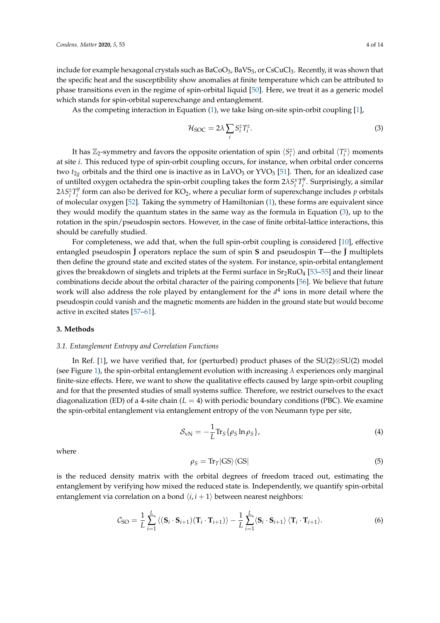include for example hexagonal crystals such as  $BaCoO<sub>3</sub>$ , BaVS<sub>3</sub>, or CsCuCl<sub>3</sub>. Recently, it was shown that the specific heat and the susceptibility show anomalies at finite temperature which can be attributed to phase transitions even in the regime of spin-orbital liquid [\[50\]](#page-13-2). Here, we treat it as a generic model which stands for spin-orbital superexchange and entanglement.

As the competing interaction in Equation [\(1\)](#page-2-2), we take Ising on-site spin-orbit coupling [\[1\]](#page-11-0),

<span id="page-3-0"></span>
$$
\mathcal{H}_{\text{SOC}} = 2\lambda \sum_{i} S_{i}^{z} T_{i}^{z}.
$$
 (3)

It has  $\mathbb{Z}_2$ -symmetry and favors the opposite orientation of spin  $\langle S_i^z \rangle$  and orbital  $\langle T_i^z \rangle$  moments at site *i*. This reduced type of spin-orbit coupling occurs, for instance, when orbital order concerns two  $t_{2g}$  orbitals and the third one is inactive as in LaVO<sub>3</sub> or YVO<sub>3</sub> [\[51\]](#page-13-3). Then, for an idealized case of untilted oxygen octahedra the spin-orbit coupling takes the form  $2\lambda S_i^x T_i^y$ *i* . Surprisingly, a similar **2**λ $S_i^z T_i^y$  $i$  form can also be derived for KO<sub>2</sub>, where a peculiar form of superexchange includes  $p$  orbitals of molecular oxygen [\[52\]](#page-13-4). Taking the symmetry of Hamiltonian [\(1\)](#page-2-2), these forms are equivalent since they would modify the quantum states in the same way as the formula in Equation [\(3\)](#page-3-0), up to the rotation in the spin/pseudospin sectors. However, in the case of finite orbital-lattice interactions, this should be carefully studied.

For completeness, we add that, when the full spin-orbit coupling is considered [\[10\]](#page-11-9), effective entangled pseudospin  $\tilde{J}$  operators replace the sum of spin **S** and pseudospin **T**—the  $\tilde{J}$  multiplets then define the ground state and excited states of the system. For instance, spin-orbital entanglement gives the breakdown of singlets and triplets at the Fermi surface in  $Sr_2RuO_4$  [53-[55\]](#page-13-6) and their linear combinations decide about the orbital character of the pairing components [\[56\]](#page-13-7). We believe that future work will also address the role played by entanglement for the  $d^4$  ions in more detail where the pseudospin could vanish and the magnetic moments are hidden in the ground state but would become active in excited states [\[57](#page-13-8)[–61\]](#page-13-9).

#### **3. Methods**

#### *3.1. Entanglement Entropy and Correlation Functions*

In Ref. [\[1\]](#page-11-0), we have verified that, for (perturbed) product phases of the SU(2)⊗SU(2) model (see Figure [1\)](#page-2-1), the spin-orbital entanglement evolution with increasing  $\lambda$  experiences only marginal finite-size effects. Here, we want to show the qualitative effects caused by large spin-orbit coupling and for that the presented studies of small systems suffice. Therefore, we restrict ourselves to the exact diagonalization (ED) of a 4-site chain  $(L = 4)$  with periodic boundary conditions (PBC). We examine the spin-orbital entanglement via entanglement entropy of the von Neumann type per site,

<span id="page-3-2"></span>
$$
S_{\rm vN} = -\frac{1}{L} \text{Tr}_S \{ \rho_S \ln \rho_S \},\tag{4}
$$

where

$$
\rho_S = \text{Tr}_T|\text{GS}\rangle\langle\text{GS}|\tag{5}
$$

is the reduced density matrix with the orbital degrees of freedom traced out, estimating the entanglement by verifying how mixed the reduced state is. Independently, we quantify spin-orbital entanglement via correlation on a bond  $\langle i, i + 1 \rangle$  between nearest neighbors:

<span id="page-3-1"></span>
$$
\mathcal{C}_{SO} = \frac{1}{L} \sum_{i=1}^{L} \left\langle (\mathbf{S}_i \cdot \mathbf{S}_{i+1}) (\mathbf{T}_i \cdot \mathbf{T}_{i+1}) \right\rangle - \frac{1}{L} \sum_{i=1}^{L} \left\langle \mathbf{S}_i \cdot \mathbf{S}_{i+1} \right\rangle \langle \mathbf{T}_i \cdot \mathbf{T}_{i+1} \rangle.
$$
 (6)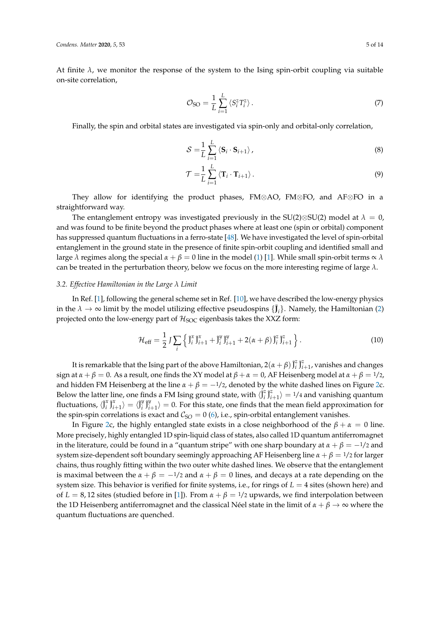At finite  $\lambda$ , we monitor the response of the system to the Ising spin-orbit coupling via suitable on-site correlation,

<span id="page-4-0"></span>
$$
\mathcal{O}_{SO} = \frac{1}{L} \sum_{i=1}^{L} \langle S_i^z T_i^z \rangle \,. \tag{7}
$$

Finally, the spin and orbital states are investigated via spin-only and orbital-only correlation,

<span id="page-4-1"></span>
$$
S = \frac{1}{L} \sum_{i=1}^{L} \langle \mathbf{S}_i \cdot \mathbf{S}_{i+1} \rangle, \tag{8}
$$

$$
\mathcal{T} = \frac{1}{L} \sum_{i=1}^{L} \langle \mathbf{T}_i \cdot \mathbf{T}_{i+1} \rangle.
$$
 (9)

They allow for identifying the product phases, FM⊗AO, FM⊗FO, and AF⊗FO in a straightforward way.

The entanglement entropy was investigated previously in the SU(2)⊗SU(2) model at  $\lambda = 0$ , and was found to be finite beyond the product phases where at least one (spin or orbital) component has suppressed quantum fluctuations in a ferro-state [\[48\]](#page-13-0). We have investigated the level of spin-orbital entanglement in the ground state in the presence of finite spin-orbit coupling and identified small and large  $\lambda$  regimes along the special  $\alpha + \beta = 0$  line in the model [\(1\)](#page-2-2) [\[1\]](#page-11-0). While small spin-orbit terms  $\alpha \lambda$ can be treated in the perturbation theory, below we focus on the more interesting regime of large *λ*.

#### *3.2. Effective Hamiltonian in the Large λ Limit*

In Ref. [\[1\]](#page-11-0), following the general scheme set in Ref. [\[10\]](#page-11-9), we have described the low-energy physics in the  $\lambda \to \infty$  limit by the model utilizing effective pseudospins  $\{\mathbf{J}_i\}$ . Namely, the Hamiltonian [\(2\)](#page-2-0) projected onto the low-energy part of  $H_{SOC}$  eigenbasis takes the XXZ form:

<span id="page-4-2"></span>
$$
\mathcal{H}_{\text{eff}} = \frac{1}{2} J \sum_{i} \left\{ \tilde{J}_{i}^{x} \tilde{J}_{i+1}^{x} + \tilde{J}_{i}^{y} \tilde{J}_{i+1}^{y} + 2(\alpha + \beta) \tilde{J}_{i}^{z} \tilde{J}_{i+1}^{z} \right\}.
$$
 (10)

It is remarkable that the Ising part of the above Hamiltonian,  $2(\alpha + \beta)\tilde{J}_i^2$  $\tilde{J}^z_i$   $\tilde{J}^z_{i+1}$ , vanishes and changes sign at  $\alpha + \beta = 0$ . As a result, one finds the XY model at  $\beta + \alpha = 0$ , AF Heisenberg model at  $\alpha + \beta = 1/2$ , and hidden FM Heisenberg at the line  $\alpha + \beta = -1/2$ , denoted by the white dashed lines on Figure [2c](#page-5-0). Below the latter line, one finds a FM Ising ground state, with  $\langle \hat{J}_i^2 \rangle$  $\binom{z}{i} \tilde{J}_{i+1}^z \rangle = 1/4$  and vanishing quantum fluctuations,  $\langle \tilde{J}_i^x \rangle$  $\langle \tilde{\mathbf{J}}_i^x \tilde{\mathbf{J}}_{i+1}^x \rangle = \langle \tilde{\mathbf{J}}_i^y \rangle$  $\int_i^y \tilde{J}_i^y$  $\binom{y}{i+1} = 0$ . For this state, one finds that the mean field approximation for the spin-spin correlations is exact and  $C_{SO} = 0$  [\(6\)](#page-3-1), i.e., spin-orbital entanglement vanishes.

In Figure [2c](#page-5-0), the highly entangled state exists in a close neighborhood of the  $\beta + \alpha = 0$  line. More precisely, highly entangled 1D spin-liquid class of states, also called 1D quantum antiferromagnet in the literature, could be found in a "quantum stripe" with one sharp boundary at  $\alpha + \beta = -\frac{1}{2}$  and system size-dependent soft boundary seemingly approaching AF Heisenberg line *α* + *β* = <sup>1</sup>/<sup>2</sup> for larger chains, thus roughly fitting within the two outer white dashed lines. We observe that the entanglement is maximal between the  $\alpha + \beta = -\frac{1}{2}$  and  $\alpha + \beta = 0$  lines, and decays at a rate depending on the system size. This behavior is verified for finite systems, i.e., for rings of *L* = 4 sites (shown here) and of  $L = 8,12$  sites (studied before in [\[1\]](#page-11-0)). From  $\alpha + \beta = 1/2$  upwards, we find interpolation between the 1D Heisenberg antiferromagnet and the classical Néel state in the limit of  $\alpha + \beta \rightarrow \infty$  where the quantum fluctuations are quenched.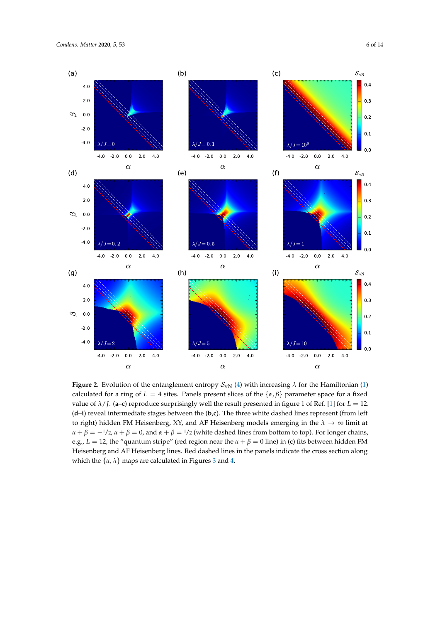

<span id="page-5-0"></span>

**Figure 2.** Evolution of the entanglement entropy  $S_{vN}$  [\(4\)](#page-3-2) with increasing  $\lambda$  for the Hamiltonian [\(1\)](#page-2-2) calculated for a ring of  $L = 4$  sites. Panels present slices of the  $\{\alpha, \beta\}$  parameter space for a fixed value of  $\lambda$ /*J*. (a–c) reproduce surprisingly well the result presented in figure 1 of Ref. [\[1\]](#page-11-0) for  $L = 12$ . (**d**–**i**) reveal intermediate stages between the (**b**,**c**). The three white dashed lines represent (from left to right) hidden FM Heisenberg, XY, and AF Heisenberg models emerging in the  $\lambda \to \infty$  limit at  $\alpha + \beta = -1/2$ ,  $\alpha + \beta = 0$ , and  $\alpha + \beta = 1/2$  (white dashed lines from bottom to top). For longer chains, e.g.,  $L = 12$ , the "quantum stripe" (red region near the  $\alpha + \beta = 0$  line) in (**c**) fits between hidden FM Heisenberg and AF Heisenberg lines. Red dashed lines in the panels indicate the cross section along which the  $\{\alpha, \lambda\}$  maps are calculated in Figures [3](#page-7-0) and [4.](#page-9-0)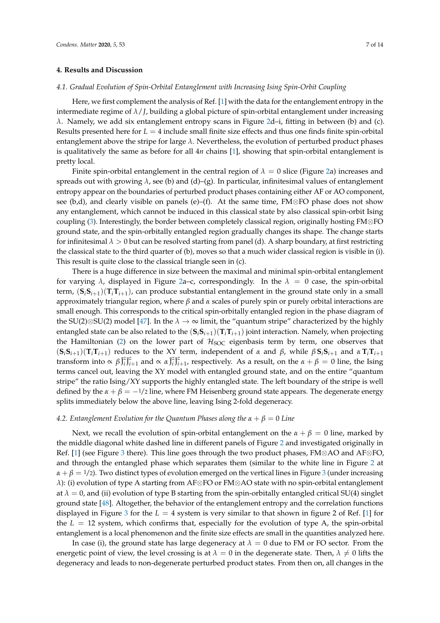#### **4. Results and Discussion**

## *4.1. Gradual Evolution of Spin-Orbital Entanglement with Increasing Ising Spin-Orbit Coupling*

Here, we first complement the analysis of Ref. [\[1\]](#page-11-0) with the data for the entanglement entropy in the intermediate regime of *λ*/*J*, building a global picture of spin-orbital entanglement under increasing *λ*. Namely, we add six entanglement entropy scans in Figure [2d](#page-5-0)–i, fitting in between (b) and (c). Results presented here for *L* = 4 include small finite size effects and thus one finds finite spin-orbital entanglement above the stripe for large *λ*. Nevertheless, the evolution of perturbed product phases is qualitatively the same as before for all 4*n* chains [\[1\]](#page-11-0), showing that spin-orbital entanglement is pretty local.

Finite spin-orbital entanglement in the central region of  $\lambda = 0$  slice (Figure [2a](#page-5-0)) increases and spreads out with growing *λ*, see (b) and (d)–(g). In particular, infinitesimal values of entanglement entropy appear on the boundaries of perturbed product phases containing either AF or AO component, see (b,d), and clearly visible on panels (e)–(f). At the same time, FM⊗FO phase does not show any entanglement, which cannot be induced in this classical state by also classical spin-orbit Ising coupling [\(3\)](#page-3-0). Interestingly, the border between completely classical region, originally hosting FM⊗FO ground state, and the spin-orbitally entangled region gradually changes its shape. The change starts for infinitesimal  $\lambda > 0$  but can be resolved starting from panel (d). A sharp boundary, at first restricting the classical state to the third quarter of (b), moves so that a much wider classical region is visible in (i). This result is quite close to the classical triangle seen in (c).

There is a huge difference in size between the maximal and minimal spin-orbital entanglement for varying  $\lambda$ , displayed in Figure [2a](#page-5-0)–c, correspondingly. In the  $\lambda = 0$  case, the spin-orbital term,  $(\mathbf{S}_i \mathbf{S}_{i+1})(\mathbf{T}_i \mathbf{T}_{i+1})$ , can produce substantial entanglement in the ground state only in a small approximately triangular region, where *β* and *α* scales of purely spin or purely orbital interactions are small enough. This corresponds to the critical spin-orbitally entangled region in the phase diagram of the SU(2)⊗SU(2) model [\[47\]](#page-12-19). In the  $\lambda \to \infty$  limit, the "quantum stripe" characterized by the highly entangled state can be also related to the  $(S_iS_{i+1})(T_iT_{i+1})$  joint interaction. Namely, when projecting the Hamiltonian [\(2\)](#page-2-0) on the lower part of  $H_{SOC}$  eigenbasis term by term, one observes that  $(S_iS_{i+1})(T_iT_{i+1})$  reduces to the XY term, independent of  $\alpha$  and  $\beta$ , while  $\beta S_iS_{i+1}$  and  $\alpha T_iT_{i+1}$ transform into  $\propto \beta \tilde{J}_i^2$  $\tilde{z}_i \tilde{J}_{i+1}^z$  and  $\propto \alpha \tilde{J}_i^z$  $z_{i}^{z}$ <sup>7</sup> $z_{i+1}$ , respectively. As a result, on the *α* + *β* = 0 line, the Ising terms cancel out, leaving the XY model with entangled ground state, and on the entire "quantum stripe" the ratio Ising/XY supports the highly entangled state. The left boundary of the stripe is well defined by the  $\alpha + \beta = -\frac{1}{2}$  line, where FM Heisenberg ground state appears. The degenerate energy splits immediately below the above line, leaving Ising 2-fold degeneracy.

#### *4.2. Entanglement Evolution for the Quantum Phases along the α* + *β* = 0 *Line*

Next, we recall the evolution of spin-orbital entanglement on the  $\alpha + \beta = 0$  line, marked by the middle diagonal white dashed line in different panels of Figure [2](#page-5-0) and investigated originally in Ref. [\[1\]](#page-11-0) (see Figure [3](#page-7-0) there). This line goes through the two product phases, FM⊗AO and AF⊗FO, and through the entangled phase which separates them (similar to the white line in Figure [2](#page-5-0) at  $\alpha + \beta = 1/2$ ). Two distinct types of evolution emerged on the vertical lines in Figure [3](#page-7-0) (under increasing *λ*): (i) evolution of type A starting from AF⊗FO or FM⊗AO state with no spin-orbital entanglement at  $\lambda = 0$ , and (ii) evolution of type B starting from the spin-orbitally entangled critical SU(4) singlet ground state [\[48\]](#page-13-0). Altogether, the behavior of the entanglement entropy and the correlation functions displayed in Figure [3](#page-7-0) for the *L* = 4 system is very similar to that shown in figure 2 of Ref. [\[1\]](#page-11-0) for the  $L = 12$  system, which confirms that, especially for the evolution of type A, the spin-orbital entanglement is a local phenomenon and the finite size effects are small in the quantities analyzed here.

In case (i), the ground state has large degeneracy at  $\lambda = 0$  due to FM or FO sector. From the energetic point of view, the level crossing is at  $\lambda = 0$  in the degenerate state. Then,  $\lambda \neq 0$  lifts the degeneracy and leads to non-degenerate perturbed product states. From then on, all changes in the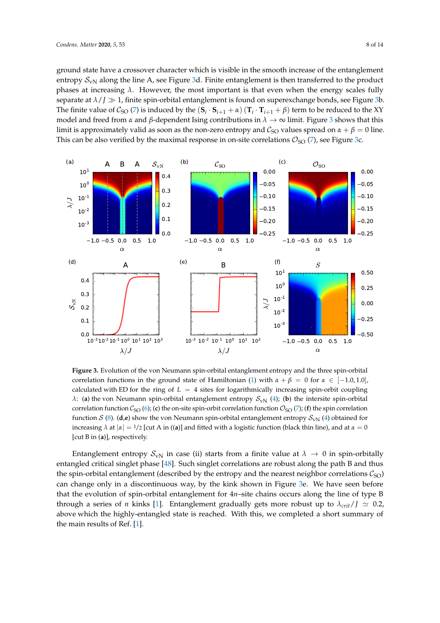ground state have a crossover character which is visible in the smooth increase of the entanglement entropy  $S_{\rm vN}$  along the line A, see Figure [3d](#page-7-0). Finite entanglement is then transferred to the product phases at increasing  $\lambda$ . However, the most important is that even when the energy scales fully separate at  $\lambda / J \gg 1$ , finite spin-orbital entanglement is found on superexchange bonds, see Figure [3b](#page-7-0). The finite value of  $C_{SO}$  [\(7\)](#page-4-0) is induced by the  $({\bf S}_i\cdot{\bf S}_{i+1}+\alpha)$   $({\bf T}_i\cdot{\bf T}_{i+1}+\beta)$  term to be reduced to the XY model and freed from *α* and *β*-dependent Ising contributions in *λ* → ∞ limit. Figure [3](#page-7-0) shows that this limit is approximately valid as soon as the non-zero entropy and  $C_{SO}$  values spread on  $\alpha + \beta = 0$  line. This can be also verified by the maximal response in on-site correlations  $\mathcal{O}_{SO}(7)$  $\mathcal{O}_{SO}(7)$ , see Figure [3c](#page-7-0).

<span id="page-7-0"></span>

**Figure 3.** Evolution of the von Neumann spin-orbital entanglement entropy and the three spin-orbital correlation functions in the ground state of Hamiltonian [\(1\)](#page-2-2) with  $\alpha + \beta = 0$  for  $\alpha \in [-1.0, 1.0]$ , calculated with ED for the ring of  $L = 4$  sites for logarithmically increasing spin-orbit coupling *λ*: (a) the von Neumann spin-orbital entanglement entropy  $S_{\rm vN}$  [\(4\)](#page-3-2); (b) the intersite spin-orbital correlation function  $C_{\text{SO}}(6)$  $C_{\text{SO}}(6)$ ; (c) the on-site spin-orbit correlation function  $\mathcal{O}_{\text{SO}}(7)$  $\mathcal{O}_{\text{SO}}(7)$ ; (f) the spin correlation function  $S$  [\(8\)](#page-4-1). (**d**,**e**) show the von Neumann spin-orbital entanglement entropy  $S_{\rm vN}$  [\(4\)](#page-3-2) obtained for increasing  $\lambda$  at  $|\alpha| = 1/2$  [cut A in ((a)] and fitted with a logistic function (black thin line), and at  $\alpha = 0$ [cut B in (**a**)], respectively.

Entanglement entropy  $S_{vN}$  in case (ii) starts from a finite value at  $\lambda \to 0$  in spin-orbitally entangled critical singlet phase [\[48\]](#page-13-0). Such singlet correlations are robust along the path B and thus the spin-orbital entanglement (described by the entropy and the nearest neighbor correlations  $C_{\text{SO}}$ ) can change only in a discontinuous way, by the kink shown in Figure [3e](#page-7-0). We have seen before that the evolution of spin-orbital entanglement for 4*n*–site chains occurs along the line of type B through a series of *n* kinks [\[1\]](#page-11-0). Entanglement gradually gets more robust up to  $\lambda_{crit}/\int$   $\approx$  0.2, above which the highly-entangled state is reached. With this, we completed a short summary of the main results of Ref. [\[1\]](#page-11-0).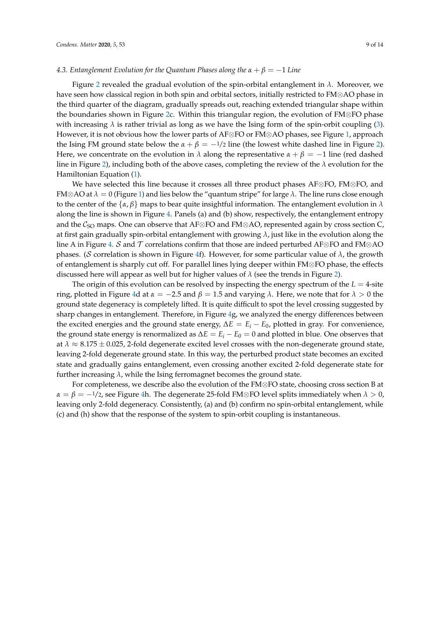### *4.3. Entanglement Evolution for the Quantum Phases along the*  $\alpha + \beta = -1$  *Line*

Figure [2](#page-5-0) revealed the gradual evolution of the spin-orbital entanglement in *λ*. Moreover, we have seen how classical region in both spin and orbital sectors, initially restricted to FM⊗AO phase in the third quarter of the diagram, gradually spreads out, reaching extended triangular shape within the boundaries shown in Figure [2c](#page-5-0). Within this triangular region, the evolution of FM⊗FO phase with increasing  $\lambda$  is rather trivial as long as we have the Ising form of the spin-orbit coupling [\(3\)](#page-3-0). However, it is not obvious how the lower parts of AF⊗FO or FM⊗AO phases, see Figure [1,](#page-2-1) approach the Ising FM ground state below the  $\alpha + \beta = -\frac{1}{2}$  line (the lowest white dashed line in Figure [2\)](#page-5-0). Here, we concentrate on the evolution in  $\lambda$  along the representative  $\alpha + \beta = -1$  line (red dashed line in Figure [2\)](#page-5-0), including both of the above cases, completing the review of the *λ* evolution for the Hamiltonian Equation [\(1\)](#page-2-2).

We have selected this line because it crosses all three product phases AF⊗FO, FM⊗FO, and FM⊗AO at *λ* = 0 (Figure [1\)](#page-2-1) and lies below the "quantum stripe" for large *λ*. The line runs close enough to the center of the  $\{\alpha, \beta\}$  maps to bear quite insightful information. The entanglement evolution in  $\lambda$ along the line is shown in Figure [4.](#page-9-0) Panels (a) and (b) show, respectively, the entanglement entropy and the  $C_{SO}$  maps. One can observe that AF⊗FO and FM⊗AO, represented again by cross section C, at first gain gradually spin-orbital entanglement with growing *λ*, just like in the evolution along the line A in Figure [4.](#page-9-0) S and T correlations confirm that those are indeed perturbed AF⊗FO and FM⊗AO phases. (S correlation is shown in Figure [4f](#page-9-0)). However, for some particular value of *λ*, the growth of entanglement is sharply cut off. For parallel lines lying deeper within FM⊗FO phase, the effects discussed here will appear as well but for higher values of *λ* (see the trends in Figure [2\)](#page-5-0).

The origin of this evolution can be resolved by inspecting the energy spectrum of the  $L = 4$ -site ring, plotted in Figure [4d](#page-9-0) at *α* = −2.5 and *β* = 1.5 and varying *λ*. Here, we note that for *λ* > 0 the ground state degeneracy is completely lifted. It is quite difficult to spot the level crossing suggested by sharp changes in entanglement. Therefore, in Figure [4g](#page-9-0), we analyzed the energy differences between the excited energies and the ground state energy,  $\Delta E = E_i - E_0$ , plotted in gray. For convenience, the ground state energy is renormalized as ∆*E* = *E<sup>i</sup>* − *E*<sup>0</sup> = 0 and plotted in blue. One observes that at  $\lambda \approx 8.175 \pm 0.025$ , 2-fold degenerate excited level crosses with the non-degenerate ground state, leaving 2-fold degenerate ground state. In this way, the perturbed product state becomes an excited state and gradually gains entanglement, even crossing another excited 2-fold degenerate state for further increasing *λ*, while the Ising ferromagnet becomes the ground state.

For completeness, we describe also the evolution of the FM⊗FO state, choosing cross section B at  $\alpha = \beta = -1/2$ , see Figure [4h](#page-9-0). The degenerate 25-fold FM⊗FO level splits immediately when  $\lambda > 0$ , leaving only 2-fold degeneracy. Consistently, (a) and (b) confirm no spin-orbital entanglement, while (c) and (h) show that the response of the system to spin-orbit coupling is instantaneous.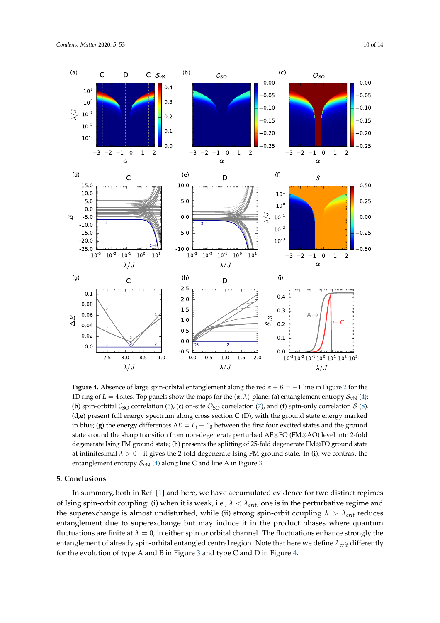<span id="page-9-0"></span>

**Figure 4.** Absence of large spin-orbital entanglement along the red  $\alpha + \beta = -1$  line in Figure [2](#page-5-0) for the 1D ring of *L* = 4 sites. Top panels show the maps for the  $(\alpha, \lambda)$ -plane: (a) entanglement entropy  $S_{\text{vN}}(4)$  $S_{\text{vN}}(4)$ ; (**b**) spin-orbital  $C_{\text{SO}}$  correlation [\(6\)](#page-3-1), (**c**) on-site  $\mathcal{O}_{\text{SO}}$  correlation [\(7\)](#page-4-0), and (**f**) spin-only correlation  $S$  [\(8\)](#page-4-1). (**d,e**) present full energy spectrum along cross section C (D), with the ground state energy marked in blue; (**g**) the energy differences  $\Delta E = E_i - E_0$  between the first four excited states and the ground state around the sharp transition from non-degenerate perturbed AF⊗FO (FM⊗AO) level into 2-fold degenerate Ising FM ground state; (**h**) presents the splitting of 25-fold degenerate FM⊗FO ground state at infinitesimal *λ* > 0—it gives the 2-fold degenerate Ising FM ground state. In (**i**), we contrast the entanglement entropy  $S_{\text{vN}}$  [\(4\)](#page-3-2) along line C and line A in Figure [3.](#page-7-0)

## **5. Conclusions**

In summary, both in Ref. [\[1\]](#page-11-0) and here, we have accumulated evidence for two distinct regimes of Ising spin-orbit coupling: (i) when it is weak, i.e., *λ* < *λcrit*, one is in the perturbative regime and the superexchange is almost undisturbed, while (ii) strong spin-orbit coupling  $\lambda > \lambda_{crit}$  reduces entanglement due to superexchange but may induce it in the product phases where quantum fluctuations are finite at  $\lambda = 0$ , in either spin or orbital channel. The fluctuations enhance strongly the entanglement of already spin-orbital entangled central region. Note that here we define *λcrit* differently for the evolution of type A and B in Figure [3](#page-7-0) and type C and D in Figure [4.](#page-9-0)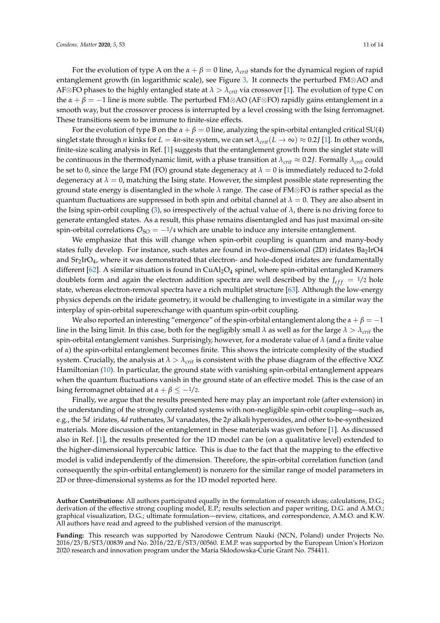For the evolution of type A on the  $\alpha + \beta = 0$  line,  $\lambda_{crit}$  stands for the dynamical region of rapid entanglement growth (in logarithmic scale), see Figure [3.](#page-7-0) It connects the perturbed FM⊗AO and AF⊗FO phases to the highly entangled state at  $\lambda > \lambda_{crit}$  via crossover [\[1\]](#page-11-0). The evolution of type C on the  $\alpha + \beta = -1$  line is more subtle. The perturbed FM⊗AO (AF⊗FO) rapidly gains entanglement in a smooth way, but the crossover process is interrupted by a level crossing with the Ising ferromagnet. These transitions seem to be immune to finite-size effects.

For the evolution of type B on the  $\alpha + \beta = 0$  line, analyzing the spin-orbital entangled critical SU(4) singlet state through *n* kinks for  $L = 4n$ -site system, we can set  $\lambda_{crit}(L \to \infty) \approx 0.2J$  [\[1\]](#page-11-0). In other words, finite-size scaling analysis in Ref. [\[1\]](#page-11-0) suggests that the entanglement growth from the singlet state will be continuous in the thermodynamic limit, with a phase transition at  $\lambda_{crit} \approx 0.2$ *J*. Formally  $\lambda_{crit}$  could be set to 0, since the large FM (FO) ground state degeneracy at  $\lambda = 0$  is immediately reduced to 2-fold degeneracy at  $\lambda = 0$ , matching the Ising state. However, the simplest possible state representing the ground state energy is disentangled in the whole *λ* range. The case of FM⊗FO is rather special as the quantum fluctuations are suppressed in both spin and orbital channel at  $\lambda = 0$ . They are also absent in the Ising spin-orbit coupling [\(3\)](#page-3-0), so irrespectively of the actual value of  $\lambda$ , there is no driving force to generate entangled states. As a result, this phase remains disentangled and has just maximal on-site spin-orbital correlations  $\mathcal{O}_{SO} = -1/4$  which are unable to induce any intersite entanglement.

We emphasize that this will change when spin-orbit coupling is quantum and many-body states fully develop. For instance, such states are found in two-dimensional (2D) iridates Ba2IrO4 and  $Sr<sub>2</sub>IrO<sub>4</sub>$ , where it was demonstrated that electron- and hole-doped iridates are fundamentally different [\[62\]](#page-13-10). A similar situation is found in CuAl<sub>2</sub>O<sub>4</sub> spinel, where spin-orbital entangled Kramers doublets form and again the electron addition spectra are well described by the  $J_{eff} = 1/2$  hole state, whereas electron-removal spectra have a rich multiplet structure [\[63\]](#page-13-11). Although the low-energy physics depends on the iridate geometry, it would be challenging to investigate in a similar way the interplay of spin-orbital superexchange with quantum spin-orbit coupling.

We also reported an interesting "emergence" of the spin-orbital entanglement along the  $\alpha + \beta = -1$ line in the Ising limit. In this case, both for the negligibly small  $\lambda$  as well as for the large  $\lambda > \lambda_{crit}$  the spin-orbital entanglement vanishes. Surprisingly, however, for a moderate value of *λ* (and a finite value of *α*) the spin-orbital entanglement becomes finite. This shows the intricate complexity of the studied system. Crucially, the analysis at  $\lambda > \lambda_{crit}$  is consistent with the phase diagram of the effective XXZ Hamiltonian [\(10\)](#page-4-2). In particular, the ground state with vanishing spin-orbital entanglement appears when the quantum fluctuations vanish in the ground state of an effective model. This is the case of an Ising ferromagnet obtained at *α* + *β* ≤ −1/2.

Finally, we argue that the results presented here may play an important role (after extension) in the understanding of the strongly correlated systems with non-negligible spin-orbit coupling—such as, e.g., the 5*d* iridates, 4*d* ruthenates, 3*d* vanadates, the 2*p* alkali hyperoxides, and other to-be-synthesized materials. More discussion of the entanglement in these materials was given before [\[1\]](#page-11-0). As discussed also in Ref. [\[1\]](#page-11-0), the results presented for the 1D model can be (on a qualitative level) extended to the higher-dimensional hypercubic lattice. This is due to the fact that the mapping to the effective model is valid independently of the dimension. Therefore, the spin-orbital correlation function (and consequently the spin-orbital entanglement) is nonzero for the similar range of model parameters in 2D or three-dimensional systems as for the 1D model reported here.

**Author Contributions:** All authors participated equally in the formulation of research ideas; calculations, D.G.; derivation of the effective strong coupling model, E.P.; results selection and paper writing, D.G. and A.M.O.; graphical visualization, D.G.; ultimate formulation—review, citations, and correspondence, A.M.O. and K.W. All authors have read and agreed to the published version of the manuscript.

**Funding:** This research was supported by Narodowe Centrum Nauki (NCN, Poland) under Projects No. 2016/23/B/ST3/00839 and No. 2016/22/E/ST3/00560. E.M.P. was supported by the European Union's Horizon 2020 research and innovation program under the Maria Skłodowska-Curie Grant No. 754411.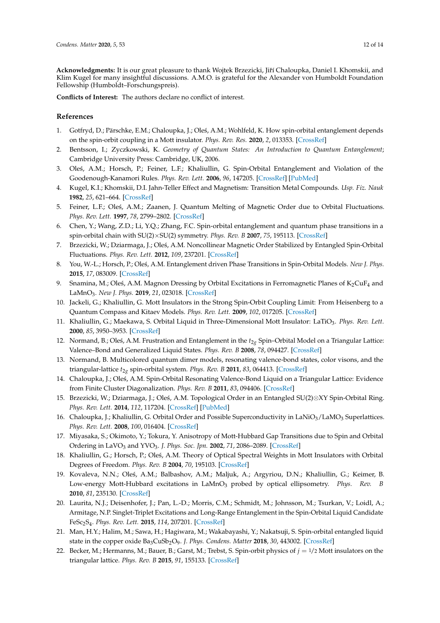**Acknowledgments:** It is our great pleasure to thank Wojtek Brzezicki, Jiˇrí Chaloupka, Daniel I. Khomskii, and Klim Kugel for many insightful discussions. A.M.O. is grateful for the Alexander von Humboldt Foundation Fellowship (Humboldt–Forschungspreis).

**Conflicts of Interest:** The authors declare no conflict of interest.

## **References**

- <span id="page-11-0"></span>1. Gotfryd, D.; Pärschke, E.M.; Chaloupka, J.; Oleś, A.M.; Wohlfeld, K. How spin-orbital entanglement depends on the spin-orbit coupling in a Mott insulator. *Phys. Rev. Res.* **2020**, *2*, 013353. [\[CrossRef\]](http://dx.doi.org/10.1103/PhysRevResearch.2.013353)
- <span id="page-11-1"></span>2. Bentsson, I.; Zyczkowski, K. *Geometry of Quantum States: An Introduction to Quantum Entanglement*; Cambridge University Press: Cambridge, UK, 2006.
- <span id="page-11-2"></span>3. Oleś, A.M.; Horsch, P.; Feiner, L.F.; Khaliullin, G. Spin-Orbital Entanglement and Violation of the Goodenough-Kanamori Rules. *Phys. Rev. Lett.* **2006**, *96*, 147205. [\[CrossRef\]](http://dx.doi.org/10.1103/PhysRevLett.96.147205) [\[PubMed\]](http://www.ncbi.nlm.nih.gov/pubmed/16712118)
- <span id="page-11-3"></span>4. Kugel, K.I.; Khomskii, D.I. Jahn-Teller Effect and Magnetism: Transition Metal Compounds. *Usp. Fiz. Nauk* **1982**, *25*, 621–664. [\[CrossRef\]](http://dx.doi.org/10.3367/UFNr.0136.198204c.0621)
- <span id="page-11-4"></span>5. Feiner, L.F.; Oleś, A.M.; Zaanen, J. Quantum Melting of Magnetic Order due to Orbital Fluctuations. *Phys. Rev. Lett.* **1997**, *78*, 2799–2802. [\[CrossRef\]](http://dx.doi.org/10.1103/PhysRevLett.78.2799)
- <span id="page-11-5"></span>6. Chen, Y.; Wang, Z.D.; Li, Y.Q.; Zhang, F.C. Spin-orbital entanglement and quantum phase transitions in a spin-orbital chain with SU(2)×SU(2) symmetry. *Phys. Rev. B* **2007**, *75*, 195113. [\[CrossRef\]](http://dx.doi.org/10.1103/PhysRevB.75.195113)
- <span id="page-11-6"></span>7. Brzezicki, W.; Dziarmaga, J.; Ole´s, A.M. Noncollinear Magnetic Order Stabilized by Entangled Spin-Orbital Fluctuations. *Phys. Rev. Lett.* **2012**, *109*, 237201. [\[CrossRef\]](http://dx.doi.org/10.1103/PhysRevLett.109.237201)
- <span id="page-11-7"></span>8. You, W.-L.; Horsch, P.; Ole´s, A.M. Entanglement driven Phase Transitions in Spin-Orbital Models. *New J. Phys.* **2015**, *17*, 083009. [\[CrossRef\]](http://dx.doi.org/10.1088/1367-2630/17/8/083009)
- <span id="page-11-8"></span>9. Snamina, M.; Oleś, A.M. Magnon Dressing by Orbital Excitations in Ferromagnetic Planes of  $K_2CuF_4$  and LaMnO3. *New J. Phys.* **2019**, *21*, 023018. [\[CrossRef\]](http://dx.doi.org/10.1088/1367-2630/aaf0d5)
- <span id="page-11-9"></span>10. Jackeli, G.; Khaliullin, G. Mott Insulators in the Strong Spin-Orbit Coupling Limit: From Heisenberg to a Quantum Compass and Kitaev Models. *Phys. Rev. Lett.* **2009**, *102*, 017205. [\[CrossRef\]](http://dx.doi.org/10.1103/PhysRevLett.102.017205)
- <span id="page-11-10"></span>11. Khaliullin, G.; Maekawa, S. Orbital Liquid in Three-Dimensional Mott Insulator: LaTiO3. *Phys. Rev. Lett.* **2000**, *85*, 3950–3953. [\[CrossRef\]](http://dx.doi.org/10.1103/PhysRevLett.85.3950)
- <span id="page-11-11"></span>12. Normand, B.; Oleś, A.M. Frustration and Entanglement in the  $t_{2g}$  Spin–Orbital Model on a Triangular Lattice: Valence–Bond and Generalized Liquid States. *Phys. Rev. B* **2008**, *78*, 094427. [\[CrossRef\]](http://dx.doi.org/10.1103/PhysRevB.78.094427)
- 13. Normand, B. Multicolored quantum dimer models, resonating valence-bond states, color visons, and the triangular-lattice  $t_{2g}$  spin-orbital system. *Phys. Rev. B* 2011, 83, 064413. [\[CrossRef\]](http://dx.doi.org/10.1103/PhysRevB.83.064413)
- <span id="page-11-12"></span>14. Chaloupka, J.; Ole´s, A.M. Spin-Orbital Resonating Valence-Bond Liquid on a Triangular Lattice: Evidence from Finite Cluster Diagonalization. *Phys. Rev. B* **2011**, *83*, 094406. [\[CrossRef\]](http://dx.doi.org/10.1103/PhysRevB.83.094406)
- <span id="page-11-13"></span>15. Brzezicki, W.; Dziarmaga, J.; Ole´s, A.M. Topological Order in an Entangled SU(2)⊗XY Spin-Orbital Ring. *Phys. Rev. Lett.* **2014**, *112*, 117204. [\[CrossRef\]](http://dx.doi.org/10.1103/PhysRevLett.112.117204) [\[PubMed\]](http://www.ncbi.nlm.nih.gov/pubmed/24702410)
- <span id="page-11-14"></span>16. Chaloupka, J.; Khaliullin, G. Orbital Order and Possible Superconductivity in LaNiO<sub>3</sub>/LaMO<sub>3</sub> Superlattices. *Phys. Rev. Lett.* **2008**, *100*, 016404. [\[CrossRef\]](http://dx.doi.org/10.1103/PhysRevLett.100.016404)
- <span id="page-11-15"></span>17. Miyasaka, S.; Okimoto, Y.; Tokura, Y. Anisotropy of Mott-Hubbard Gap Transitions due to Spin and Orbital Ordering in LaVO<sup>3</sup> and YVO3. *J. Phys. Soc. Jpn.* **2002**, *71*, 2086–2089. [\[CrossRef\]](http://dx.doi.org/10.1143/JPSJ.71.2086)
- <span id="page-11-16"></span>18. Khaliullin, G.; Horsch, P.; Oleś, A.M. Theory of Optical Spectral Weights in Mott Insulators with Orbital Degrees of Freedom. *Phys. Rev. B* **2004**, *70*, 195103. [\[CrossRef\]](http://dx.doi.org/10.1103/PhysRevB.70.195103)
- <span id="page-11-17"></span>19. Kovaleva, N.N.; Oleś, A.M.; Balbashov, A.M.; Maljuk, A.; Argyriou, D.N.; Khaliullin, G.; Keimer, B. Low-energy Mott-Hubbard excitations in LaMnO<sub>3</sub> probed by optical ellipsometry. Phys. Rev. B **2010**, *81*, 235130. [\[CrossRef\]](http://dx.doi.org/10.1103/PhysRevB.81.235130)
- <span id="page-11-18"></span>20. Laurita, N.J.; Deisenhofer, J.; Pan, L.-D.; Morris, C.M.; Schmidt, M.; Johnsson, M.; Tsurkan, V.; Loidl, A.; Armitage, N.P. Singlet-Triplet Excitations and Long-Range Entanglement in the Spin-Orbital Liquid Candidate FeSc2S<sup>4</sup> . *Phys. Rev. Lett.* **2015**, *114*, 207201. [\[CrossRef\]](http://dx.doi.org/10.1103/PhysRevLett.114.207201)
- <span id="page-11-19"></span>21. Man, H.Y.; Halim, M.; Sawa, H.; Hagiwara, M.; Wakabayashi, Y.; Nakatsuji, S. Spin-orbital entangled liquid state in the copper oxide Ba3CuSb2O9. *J. Phys. Condens. Matter* **2018**, *30*, 443002. [\[CrossRef\]](http://dx.doi.org/10.1088/1361-648X/aae106)
- <span id="page-11-20"></span>22. Becker, M.; Hermanns, M.; Bauer, B.; Garst, M.; Trebst, S. Spin-orbit physics of *j* = 1/2 Mott insulators on the triangular lattice. *Phys. Rev. B* **2015**, *91*, 155133. [\[CrossRef\]](http://dx.doi.org/10.1103/PhysRevB.91.155135)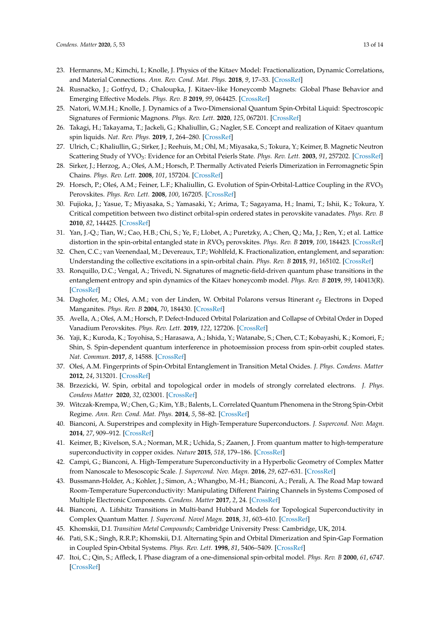- 23. Hermanns, M.; Kimchi, I.; Knolle, J. Physics of the Kitaev Model: Fractionalization, Dynamic Correlations, and Material Connections. *Ann. Rev. Cond. Mat. Phys.* **2018**, *9*, 17–33. [\[CrossRef\]](http://dx.doi.org/10.1146/annurev-conmatphys-033117-053934)
- 24. Rusnačko, J.; Gotfryd, D.; Chaloupka, J. Kitaev-like Honeycomb Magnets: Global Phase Behavior and Emerging Effective Models. *Phys. Rev. B* **2019**, *99*, 064425. [\[CrossRef\]](http://dx.doi.org/10.1103/PhysRevB.99.064425)
- <span id="page-12-0"></span>25. Natori, W.M.H.; Knolle, J. Dynamics of a Two-Dimensional Quantum Spin-Orbital Liquid: Spectroscopic Signatures of Fermionic Magnons. *Phys. Rev. Lett.* **2020**, *125*, 067201. [\[CrossRef\]](http://dx.doi.org/10.1103/PhysRevLett.125.067201)
- <span id="page-12-1"></span>26. Takagi, H.; Takayama, T.; Jackeli, G.; Khaliullin, G.; Nagler, S.E. Concept and realization of Kitaev quantum spin liquids. *Nat. Rev. Phys.* **2019**, *1*, 264–280. [\[CrossRef\]](http://dx.doi.org/10.1038/s42254-019-0038-2)
- <span id="page-12-2"></span>27. Ulrich, C.; Khaliullin, G.; Sirker, J.; Reehuis, M.; Ohl, M.; Miyasaka, S.; Tokura, Y.; Keimer, B. Magnetic Neutron Scattering Study of YVO3: Evidence for an Orbital Peierls State. *Phys. Rev. Lett.* **2003**, *91*, 257202. [\[CrossRef\]](http://dx.doi.org/10.1103/PhysRevLett.91.257202)
- <span id="page-12-3"></span>28. Sirker, J.; Herzog, A.; Oleś, A.M.; Horsch, P. Thermally Activated Peierls Dimerization in Ferromagnetic Spin Chains. *Phys. Rev. Lett.* **2008**, *101*, 157204. [\[CrossRef\]](http://dx.doi.org/10.1103/PhysRevLett.101.157204)
- <span id="page-12-4"></span>29. Horsch, P.; Ole´s, A.M.; Feiner, L.F.; Khaliullin, G. Evolution of Spin-Orbital-Lattice Coupling in the *R*VO<sup>3</sup> Perovskites. *Phys. Rev. Lett.* **2008**, *100*, 167205. [\[CrossRef\]](http://dx.doi.org/10.1103/PhysRevLett.100.167205)
- <span id="page-12-5"></span>30. Fujioka, J.; Yasue, T.; Miyasaka, S.; Yamasaki, Y.; Arima, T.; Sagayama, H.; Inami, T.; Ishii, K.; Tokura, Y. Critical competition between two distinct orbital-spin ordered states in perovskite vanadates. *Phys. Rev. B* **2010**, *82*, 144425. [\[CrossRef\]](http://dx.doi.org/10.1103/PhysRevB.82.144425)
- <span id="page-12-6"></span>31. Yan, J.-Q.; Tian, W.; Cao, H.B.; Chi, S.; Ye, F.; Llobet, A.; Puretzky, A.; Chen, Q.; Ma, J.; Ren, Y.; et al. Lattice distortion in the spin-orbital entangled state in *RVO*<sub>3</sub> perovskites. *Phys. Rev. B* **2019**, 100, 184423. [\[CrossRef\]](http://dx.doi.org/10.1103/PhysRevB.100.184423)
- <span id="page-12-7"></span>32. Chen, C.C.; van Veenendaal, M.; Devereaux, T.P.; Wohlfeld, K. Fractionalization, entanglement, and separation: Understanding the collective excitations in a spin-orbital chain. *Phys. Rev. B* **2015**, *91*, 165102. [\[CrossRef\]](http://dx.doi.org/10.1103/PhysRevB.91.165102)
- <span id="page-12-8"></span>33. Ronquillo, D.C.; Vengal, A.; Trivedi, N. Signatures of magnetic-field-driven quantum phase transitions in the entanglement entropy and spin dynamics of the Kitaev honeycomb model. *Phys. Rev. B* **2019**, *99*, 140413(R). [\[CrossRef\]](http://dx.doi.org/10.1103/PhysRevB.99.140413)
- <span id="page-12-9"></span>34. Daghofer, M.; Ole´s, A.M.; von der Linden, W. Orbital Polarons versus Itinerant *eg* Electrons in Doped Manganites. *Phys. Rev. B* **2004**, *70*, 184430. [\[CrossRef\]](http://dx.doi.org/10.1103/PhysRevB.70.184430)
- <span id="page-12-10"></span>35. Avella, A.; Ole´s, A.M.; Horsch, P. Defect-Induced Orbital Polarization and Collapse of Orbital Order in Doped Vanadium Perovskites. *Phys. Rev. Lett.* **2019**, *122*, 127206. [\[CrossRef\]](http://dx.doi.org/10.1103/PhysRevLett.122.127206)
- <span id="page-12-11"></span>36. Yaji, K.; Kuroda, K.; Toyohisa, S.; Harasawa, A.; Ishida, Y.; Watanabe, S.; Chen, C.T.; Kobayashi, K.; Komori, F.; Shin, S. Spin-dependent quantum interference in photoemission process from spin-orbit coupled states. *Nat. Commun.* **2017**, *8*, 14588. [\[CrossRef\]](http://dx.doi.org/10.1038/ncomms14588)
- <span id="page-12-12"></span>37. Ole´s, A.M. Fingerprints of Spin-Orbital Entanglement in Transition Metal Oxides. *J. Phys. Condens. Matter* **2012**, *24*, 313201. [\[CrossRef\]](http://dx.doi.org/10.1088/0953-8984/24/31/313201)
- <span id="page-12-13"></span>38. Brzezicki, W. Spin, orbital and topological order in models of strongly correlated electrons. *J. Phys. Condens Matter* **2020**, *32*, 023001. [\[CrossRef\]](http://dx.doi.org/10.1088/1361-648X/ab448d)
- <span id="page-12-14"></span>39. Witczak-Krempa, W.; Chen, G.; Kim, Y.B.; Balents, L. Correlated Quantum Phenomena in the Strong Spin-Orbit Regime. *Ann. Rev. Cond. Mat. Phys.* **2014**, *5*, 58–82. [\[CrossRef\]](http://dx.doi.org/10.1146/annurev-conmatphys-020911-125138)
- <span id="page-12-15"></span>40. Bianconi, A. Superstripes and complexity in High-Temperature Superconductors. *J. Supercond. Nov. Magn.* **2014**, *27*, 909–912. [\[CrossRef\]](http://dx.doi.org/10.1007/s10948-014-2516-1)
- 41. Keimer, B.; Kivelson, S.A.; Norman, M.R.; Uchida, S.; Zaanen, J. From quantum matter to high-temperature superconductivity in copper oxides. *Nature* **2015**, *518*, 179–186. [\[CrossRef\]](http://dx.doi.org/10.1038/nature14165)
- 42. Campi, G.; Bianconi, A. High-Temperature Superconductivity in a Hyperbolic Geometry of Complex Matter from Nanoscale to Mesoscopic Scale. *J. Supercond. Nov. Magn.* **2016**, *29*, 627–631. [\[CrossRef\]](http://dx.doi.org/10.1007/s10948-015-3326-9)
- 43. Bussmann-Holder, A.; Kohler, J.; Simon, A.; Whangbo, M.-H.; Bianconi, A.; Perali, A. The Road Map toward Room-Temperature Superconductivity: Manipulating Different Pairing Channels in Systems Composed of Multiple Electronic Components. *Condens. Matter* **2017**, *2*, 24. [\[CrossRef\]](http://dx.doi.org/10.3390/condmat2030024)
- <span id="page-12-16"></span>44. Bianconi, A. Lifshitz Transitions in Multi-band Hubbard Models for Topological Superconductivity in Complex Quantum Matter. *J. Supercond. Novel Magn.* **2018**, *31*, 603–610. [\[CrossRef\]](http://dx.doi.org/10.1007/s10948-017-4535-1)
- <span id="page-12-17"></span>45. Khomskii, D.I. *Transition Metal Compounds*; Cambridge University Press: Cambridge, UK, 2014.
- <span id="page-12-18"></span>46. Pati, S.K.; Singh, R.R.P.; Khomskii, D.I. Alternating Spin and Orbital Dimerization and Spin-Gap Formation in Coupled Spin-Orbital Systems. *Phys. Rev. Lett.* **1998**, *81*, 5406–5409. [\[CrossRef\]](http://dx.doi.org/10.1103/PhysRevLett.81.5406)
- <span id="page-12-19"></span>47. Itoi, C.; Qin, S.; Affleck, I. Phase diagram of a one-dimensional spin-orbital model. *Phys. Rev. B* **2000**, *61*, 6747. [\[CrossRef\]](http://dx.doi.org/10.1103/PhysRevB.61.6747)